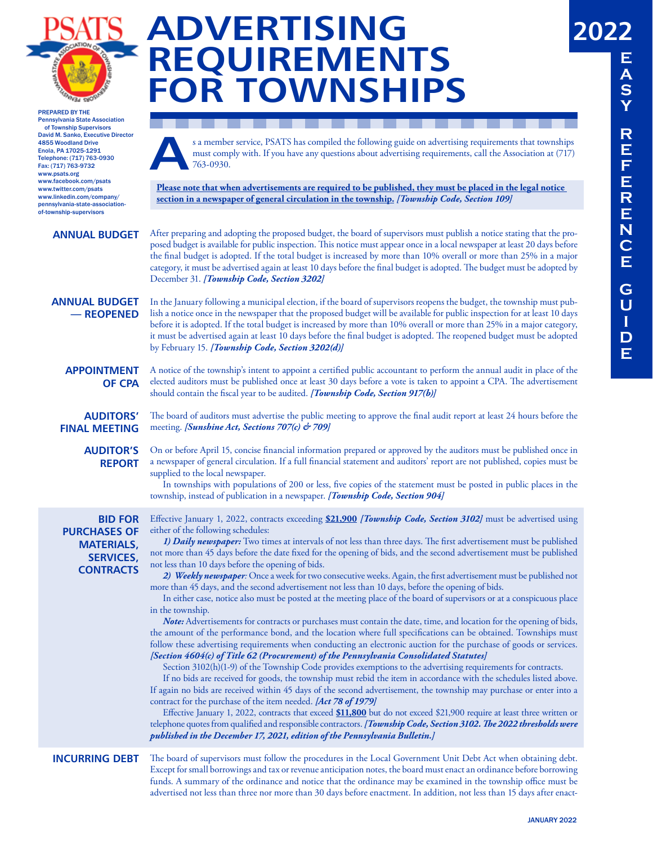

# **ADVERTISING REQUIREMENTS FOR TOWNSHIPS**

should contain the fiscal year to be audited. *[Township Code, Section 917(b)]*

PREPARED BY THE Pennsylvania State Association of Township Supervisors David M. Sanko, Executive Director 4855 Woodland Drive Enola, PA 17025-1291 Telephone: (717) 763-0930 Fax: (717) 763-9732 www.psats.org www.facebook.com/psats www.twitter.com/psats www.linkedin.com/company/ pennsylvania-state-associationof-township-supervisors

**A** s a member service, PSATS has compiled the following guide on advertising requirements that townships must comply with. If you have any questions about advertising requirements, call the Association at (717) 763-0930.

**Please note that when advertisements are required to be published, they must be placed in the legal notice section in a newspaper of general circulation in the township.** *[Township Code, Section 109]*

#### **ANNUAL BUDGET**

After preparing and adopting the proposed budget, the board of supervisors must publish a notice stating that the proposed budget is available for public inspection. This notice must appear once in a local newspaper at least 20 days before the final budget is adopted. If the total budget is increased by more than 10% overall or more than 25% in a major category, it must be advertised again at least 10 days before the final budget is adopted. The budget must be adopted by December 31. *[Township Code, Section 3202]*

### **ANNUAL BUDGET — REOPENED**

In the January following a municipal election, if the board of supervisors reopens the budget, the township must publish a notice once in the newspaper that the proposed budget will be available for public inspection for at least 10 days before it is adopted. If the total budget is increased by more than 10% overall or more than 25% in a major category, it must be advertised again at least 10 days before the final budget is adopted. The reopened budget must be adopted by February 15. *[Township Code, Section 3202(d)]*

A notice of the township's intent to appoint a certified public accountant to perform the annual audit in place of the elected auditors must be published once at least 30 days before a vote is taken to appoint a CPA. The advertisement

### **APPOINTMENT OF CPA**

**AUDITORS' FINAL MEETING** The board of auditors must advertise the public meeting to approve the final audit report at least 24 hours before the meeting. *[Sunshine Act, Sections 707(c) & 709]*

**AUDITOR'S REPORT**

On or before April 15, concise financial information prepared or approved by the auditors must be published once in a newspaper of general circulation. If a full financial statement and auditors' report are not published, copies must be supplied to the local newspaper.

In townships with populations of 200 or less, five copies of the statement must be posted in public places in the township, instead of publication in a newspaper. *[Township Code, Section 904]*

**BID FOR PURCHASES OF MATERIALS, SERVICES, CONTRACTS**

Effective January 1, 2022, contracts exceeding **\$21,900** *[Township Code, Section 3102]* must be advertised using either of the following schedules:

*1) Daily newspaper:* Two times at intervals of not less than three days. The first advertisement must be published not more than 45 days before the date fixed for the opening of bids, and the second advertisement must be published not less than 10 days before the opening of bids.

*2) Weekly newspaper:* Once a week for two consecutive weeks. Again, the first advertisement must be published not more than 45 days, and the second advertisement not less than 10 days, before the opening of bids.

In either case, notice also must be posted at the meeting place of the board of supervisors or at a conspicuous place in the township.

*Note:* Advertisements for contracts or purchases must contain the date, time, and location for the opening of bids, the amount of the performance bond, and the location where full specifications can be obtained. Townships must follow these advertising requirements when conducting an electronic auction for the purchase of goods or services. *[Section 4604(c) of Title 62 (Procurement) of the Pennsylvania Consolidated Statutes]*

Section 3102(h)(1-9) of the Township Code provides exemptions to the advertising requirements for contracts.

If no bids are received for goods, the township must rebid the item in accordance with the schedules listed above. If again no bids are received within 45 days of the second advertisement, the township may purchase or enter into a contract for the purchase of the item needed. *[Act 78 of 1979]*

Effective January 1, 2022, contracts that exceed **\$11,800** but do not exceed \$21,900 require at least three written or telephone quotes from qualified and responsible contractors. *[Township Code, Section 3102. The 2022 thresholds were published in the December 17, 2021, edition of the Pennsylvania Bulletin.]*

### **INCURRING DEBT**

The board of supervisors must follow the procedures in the Local Government Unit Debt Act when obtaining debt. Except for small borrowings and tax or revenue anticipation notes, the board must enact an ordinance before borrowing funds. A summary of the ordinance and notice that the ordinance may be examined in the township office must be advertised not less than three nor more than 30 days before enactment. In addition, not less than 15 days after enact-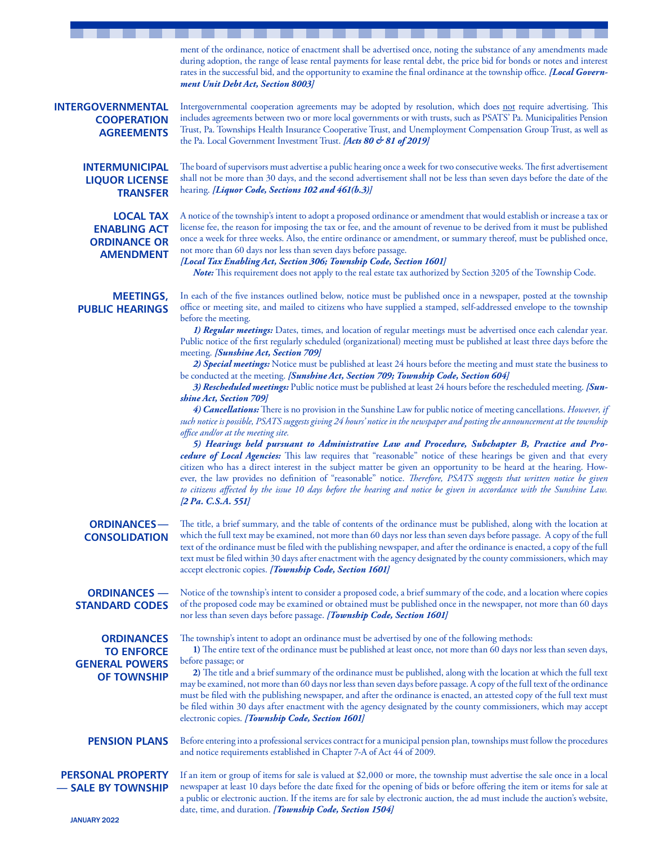|                                                                                       | ment of the ordinance, notice of enactment shall be advertised once, noting the substance of any amendments made<br>during adoption, the range of lease rental payments for lease rental debt, the price bid for bonds or notes and interest<br>rates in the successful bid, and the opportunity to examine the final ordinance at the township office. [Local Govern-<br>ment Unit Debt Act, Section 8003]                                                                                                                                                                                                                                                                                                                                                                                                                                                                                                                         |
|---------------------------------------------------------------------------------------|-------------------------------------------------------------------------------------------------------------------------------------------------------------------------------------------------------------------------------------------------------------------------------------------------------------------------------------------------------------------------------------------------------------------------------------------------------------------------------------------------------------------------------------------------------------------------------------------------------------------------------------------------------------------------------------------------------------------------------------------------------------------------------------------------------------------------------------------------------------------------------------------------------------------------------------|
| INTERGOVERNMENTAL<br><b>COOPERATION</b><br><b>AGREEMENTS</b>                          | Intergovernmental cooperation agreements may be adopted by resolution, which does not require advertising. This<br>includes agreements between two or more local governments or with trusts, such as PSATS' Pa. Municipalities Pension<br>Trust, Pa. Townships Health Insurance Cooperative Trust, and Unemployment Compensation Group Trust, as well as<br>the Pa. Local Government Investment Trust. [Acts 80 & 81 of 2019]                                                                                                                                                                                                                                                                                                                                                                                                                                                                                                       |
| <b>INTERMUNICIPAL</b><br><b>LIQUOR LICENSE</b><br><b>TRANSFER</b>                     | The board of supervisors must advertise a public hearing once a week for two consecutive weeks. The first advertisement<br>shall not be more than 30 days, and the second advertisement shall not be less than seven days before the date of the<br>hearing. [Liquor Code, Sections 102 and 461(b.3)]                                                                                                                                                                                                                                                                                                                                                                                                                                                                                                                                                                                                                               |
| <b>LOCAL TAX</b><br><b>ENABLING ACT</b><br><b>ORDINANCE OR</b><br><b>AMENDMENT</b>    | A notice of the township's intent to adopt a proposed ordinance or amendment that would establish or increase a tax or<br>license fee, the reason for imposing the tax or fee, and the amount of revenue to be derived from it must be published<br>once a week for three weeks. Also, the entire ordinance or amendment, or summary thereof, must be published once,<br>not more than 60 days nor less than seven days before passage.<br>[Local Tax Enabling Act, Section 306; Township Code, Section 1601]<br>Note: This requirement does not apply to the real estate tax authorized by Section 3205 of the Township Code.                                                                                                                                                                                                                                                                                                      |
| <b>MEETINGS,</b><br><b>PUBLIC HEARINGS</b>                                            | In each of the five instances outlined below, notice must be published once in a newspaper, posted at the township<br>office or meeting site, and mailed to citizens who have supplied a stamped, self-addressed envelope to the township<br>before the meeting.<br>1) Regular meetings: Dates, times, and location of regular meetings must be advertised once each calendar year.<br>Public notice of the first regularly scheduled (organizational) meeting must be published at least three days before the<br>meeting. [Sunshine Act, Section 709]<br>2) Special meetings: Notice must be published at least 24 hours before the meeting and must state the business to<br>be conducted at the meeting. [Sunshine Act, Section 709; Township Code, Section 604]<br>3) Rescheduled meetings: Public notice must be published at least 24 hours before the rescheduled meeting. [Sun-                                            |
|                                                                                       | shine Act, Section 709]<br>4) Cancellations: There is no provision in the Sunshine Law for public notice of meeting cancellations. However, if<br>such notice is possible, PSATS suggests giving 24 hours' notice in the newspaper and posting the announcement at the township<br>office and/or at the meeting site.<br>5) Hearings held pursuant to Administrative Law and Procedure, Subchapter B, Practice and Pro-<br>cedure of Local Agencies: This law requires that "reasonable" notice of these hearings be given and that every<br>citizen who has a direct interest in the subject matter be given an opportunity to be heard at the hearing. How-<br>ever, the law provides no definition of "reasonable" notice. Therefore, PSATS suggests that written notice be given<br>to citizens affected by the issue 10 days before the hearing and notice be given in accordance with the Sunshine Law.<br>[2 Pa. C.S.A. 551] |
| <b>ORDINANCES-</b><br><b>CONSOLIDATION</b>                                            | The title, a brief summary, and the table of contents of the ordinance must be published, along with the location at<br>which the full text may be examined, not more than 60 days nor less than seven days before passage. A copy of the full<br>text of the ordinance must be filed with the publishing newspaper, and after the ordinance is enacted, a copy of the full<br>text must be filed within 30 days after enactment with the agency designated by the county commissioners, which may<br>accept electronic copies. [Township Code, Section 1601]                                                                                                                                                                                                                                                                                                                                                                       |
| <b>ORDINANCES —</b><br><b>STANDARD CODES</b>                                          | Notice of the township's intent to consider a proposed code, a brief summary of the code, and a location where copies<br>of the proposed code may be examined or obtained must be published once in the newspaper, not more than 60 days<br>nor less than seven days before passage. [Township Code, Section 1601]                                                                                                                                                                                                                                                                                                                                                                                                                                                                                                                                                                                                                  |
| <b>ORDINANCES</b><br><b>TO ENFORCE</b><br><b>GENERAL POWERS</b><br><b>OF TOWNSHIP</b> | The township's intent to adopt an ordinance must be advertised by one of the following methods:<br>1) The entire text of the ordinance must be published at least once, not more than 60 days nor less than seven days,<br>before passage; or<br>2) The title and a brief summary of the ordinance must be published, along with the location at which the full text<br>may be examined, not more than 60 days nor less than seven days before passage. A copy of the full text of the ordinance<br>must be filed with the publishing newspaper, and after the ordinance is enacted, an attested copy of the full text must<br>be filed within 30 days after enactment with the agency designated by the county commissioners, which may accept<br>electronic copies. [Township Code, Section 1601]                                                                                                                                 |
| <b>PENSION PLANS</b>                                                                  | Before entering into a professional services contract for a municipal pension plan, townships must follow the procedures<br>and notice requirements established in Chapter 7-A of Act 44 of 2009.                                                                                                                                                                                                                                                                                                                                                                                                                                                                                                                                                                                                                                                                                                                                   |
| <b>PERSONAL PROPERTY</b><br>- SALE BY TOWNSHIP                                        | If an item or group of items for sale is valued at \$2,000 or more, the township must advertise the sale once in a local<br>newspaper at least 10 days before the date fixed for the opening of bids or before offering the item or items for sale at<br>a public or electronic auction. If the items are for sale by electronic auction, the ad must include the auction's website,<br>date, time, and duration. [Township Code, Section 1504]                                                                                                                                                                                                                                                                                                                                                                                                                                                                                     |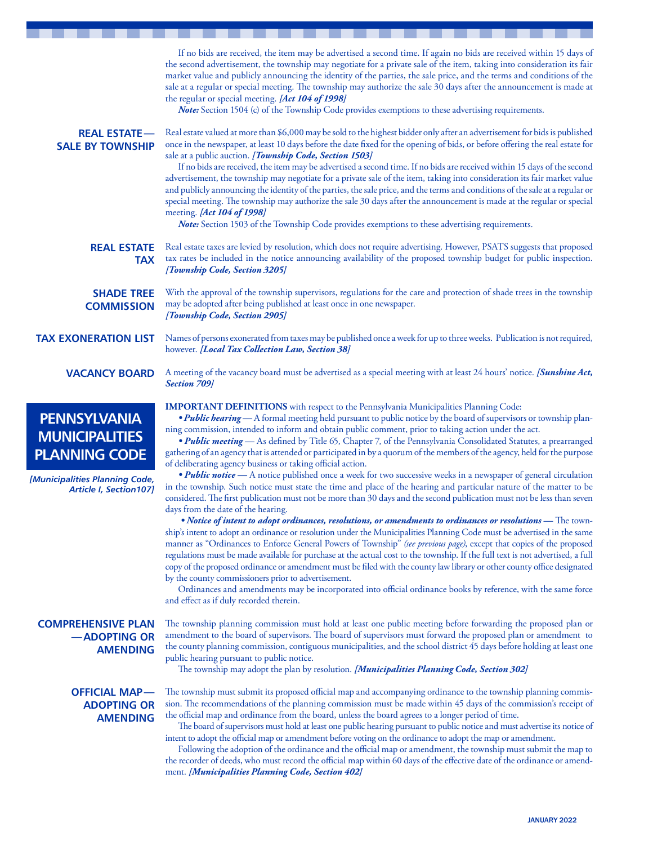|                                                                                                                                         | If no bids are received, the item may be advertised a second time. If again no bids are received within 15 days of<br>the second advertisement, the township may negotiate for a private sale of the item, taking into consideration its fair<br>market value and publicly announcing the identity of the parties, the sale price, and the terms and conditions of the<br>sale at a regular or special meeting. The township may authorize the sale 30 days after the announcement is made at<br>the regular or special meeting. [Act 104 of 1998]<br><b>Note:</b> Section 1504 (c) of the Township Code provides exemptions to these advertising requirements.                                                                                                                                                                                                                                                                                                                                                                                                                                                                                                                                                                                                                                                                                                                                                                                                                                                                                                                                                                                                                                                                                                                                                                                                                                                |
|-----------------------------------------------------------------------------------------------------------------------------------------|----------------------------------------------------------------------------------------------------------------------------------------------------------------------------------------------------------------------------------------------------------------------------------------------------------------------------------------------------------------------------------------------------------------------------------------------------------------------------------------------------------------------------------------------------------------------------------------------------------------------------------------------------------------------------------------------------------------------------------------------------------------------------------------------------------------------------------------------------------------------------------------------------------------------------------------------------------------------------------------------------------------------------------------------------------------------------------------------------------------------------------------------------------------------------------------------------------------------------------------------------------------------------------------------------------------------------------------------------------------------------------------------------------------------------------------------------------------------------------------------------------------------------------------------------------------------------------------------------------------------------------------------------------------------------------------------------------------------------------------------------------------------------------------------------------------------------------------------------------------------------------------------------------------|
| <b>REAL ESTATE-</b><br><b>SALE BY TOWNSHIP</b>                                                                                          | Real estate valued at more than \$6,000 may be sold to the highest bidder only after an advertisement for bids is published<br>once in the newspaper, at least 10 days before the date fixed for the opening of bids, or before offering the real estate for<br>sale at a public auction. [Township Code, Section 1503]<br>If no bids are received, the item may be advertised a second time. If no bids are received within 15 days of the second<br>advertisement, the township may negotiate for a private sale of the item, taking into consideration its fair market value<br>and publicly announcing the identity of the parties, the sale price, and the terms and conditions of the sale at a regular or<br>special meeting. The township may authorize the sale 30 days after the announcement is made at the regular or special<br>meeting. [Act 104 of 1998]<br>Note: Section 1503 of the Township Code provides exemptions to these advertising requirements.                                                                                                                                                                                                                                                                                                                                                                                                                                                                                                                                                                                                                                                                                                                                                                                                                                                                                                                                      |
| <b>REAL ESTATE</b><br><b>TAX</b>                                                                                                        | Real estate taxes are levied by resolution, which does not require advertising. However, PSATS suggests that proposed<br>tax rates be included in the notice announcing availability of the proposed township budget for public inspection.<br>[Township Code, Section 3205]                                                                                                                                                                                                                                                                                                                                                                                                                                                                                                                                                                                                                                                                                                                                                                                                                                                                                                                                                                                                                                                                                                                                                                                                                                                                                                                                                                                                                                                                                                                                                                                                                                   |
| <b>SHADE TREE</b><br><b>COMMISSION</b>                                                                                                  | With the approval of the township supervisors, regulations for the care and protection of shade trees in the township<br>may be adopted after being published at least once in one newspaper.<br>[Township Code, Section 2905]                                                                                                                                                                                                                                                                                                                                                                                                                                                                                                                                                                                                                                                                                                                                                                                                                                                                                                                                                                                                                                                                                                                                                                                                                                                                                                                                                                                                                                                                                                                                                                                                                                                                                 |
| <b>TAX EXONERATION LIST</b>                                                                                                             | Names of persons exonerated from taxes may be published once a week for up to three weeks. Publication is not required,<br>however. [Local Tax Collection Law, Section 38]                                                                                                                                                                                                                                                                                                                                                                                                                                                                                                                                                                                                                                                                                                                                                                                                                                                                                                                                                                                                                                                                                                                                                                                                                                                                                                                                                                                                                                                                                                                                                                                                                                                                                                                                     |
| <b>VACANCY BOARD</b>                                                                                                                    | A meeting of the vacancy board must be advertised as a special meeting with at least 24 hours' notice. [Sunshine Act,<br>Section 709]                                                                                                                                                                                                                                                                                                                                                                                                                                                                                                                                                                                                                                                                                                                                                                                                                                                                                                                                                                                                                                                                                                                                                                                                                                                                                                                                                                                                                                                                                                                                                                                                                                                                                                                                                                          |
| <b>PENNSYLVANIA</b><br><b>MUNICIPALITIES</b><br><b>PLANNING CODE</b><br>[Municipalities Planning Code,<br><b>Article I, Section107]</b> | <b>IMPORTANT DEFINITIONS</b> with respect to the Pennsylvania Municipalities Planning Code:<br>. Public hearing - A formal meeting held pursuant to public notice by the board of supervisors or township plan-<br>ning commission, intended to inform and obtain public comment, prior to taking action under the act.<br><i>• Public meeting</i> — As defined by Title 65, Chapter 7, of the Pennsylvania Consolidated Statutes, a prearranged<br>gathering of an agency that is attended or participated in by a quorum of the members of the agency, held for the purpose<br>of deliberating agency business or taking official action.<br><i>• Public notice</i> - A notice published once a week for two successive weeks in a newspaper of general circulation<br>in the township. Such notice must state the time and place of the hearing and particular nature of the matter to be<br>considered. The first publication must not be more than 30 days and the second publication must not be less than seven<br>days from the date of the hearing.<br>• Notice of intent to adopt ordinances, resolutions, or amendments to ordinances or resolutions – The town-<br>ship's intent to adopt an ordinance or resolution under the Municipalities Planning Code must be advertised in the same<br>manner as "Ordinances to Enforce General Powers of Township" (see previous page), except that copies of the proposed<br>regulations must be made available for purchase at the actual cost to the township. If the full text is not advertised, a full<br>copy of the proposed ordinance or amendment must be filed with the county law library or other county office designated<br>by the county commissioners prior to advertisement.<br>Ordinances and amendments may be incorporated into official ordinance books by reference, with the same force<br>and effect as if duly recorded therein. |
| <b>COMPREHENSIVE PLAN</b><br>-ADOPTING OR<br><b>AMENDING</b>                                                                            | The township planning commission must hold at least one public meeting before forwarding the proposed plan or<br>amendment to the board of supervisors. The board of supervisors must forward the proposed plan or amendment to<br>the county planning commission, contiguous municipalities, and the school district 45 days before holding at least one<br>public hearing pursuant to public notice.<br>The township may adopt the plan by resolution. [Municipalities Planning Code, Section 302]                                                                                                                                                                                                                                                                                                                                                                                                                                                                                                                                                                                                                                                                                                                                                                                                                                                                                                                                                                                                                                                                                                                                                                                                                                                                                                                                                                                                           |
| <b>OFFICIAL MAP-</b><br><b>ADOPTING OR</b><br><b>AMENDING</b>                                                                           | The township must submit its proposed official map and accompanying ordinance to the township planning commis-<br>sion. The recommendations of the planning commission must be made within 45 days of the commission's receipt of<br>the official map and ordinance from the board, unless the board agrees to a longer period of time.<br>The board of supervisors must hold at least one public hearing pursuant to public notice and must advertise its notice of<br>intent to adopt the official map or amendment before voting on the ordinance to adopt the map or amendment.<br>Following the adoption of the ordinance and the official map or amendment, the township must submit the map to<br>the recorder of deeds, who must record the official map within 60 days of the effective date of the ordinance or amend-<br>ment. [Municipalities Planning Code, Section 402]                                                                                                                                                                                                                                                                                                                                                                                                                                                                                                                                                                                                                                                                                                                                                                                                                                                                                                                                                                                                                          |